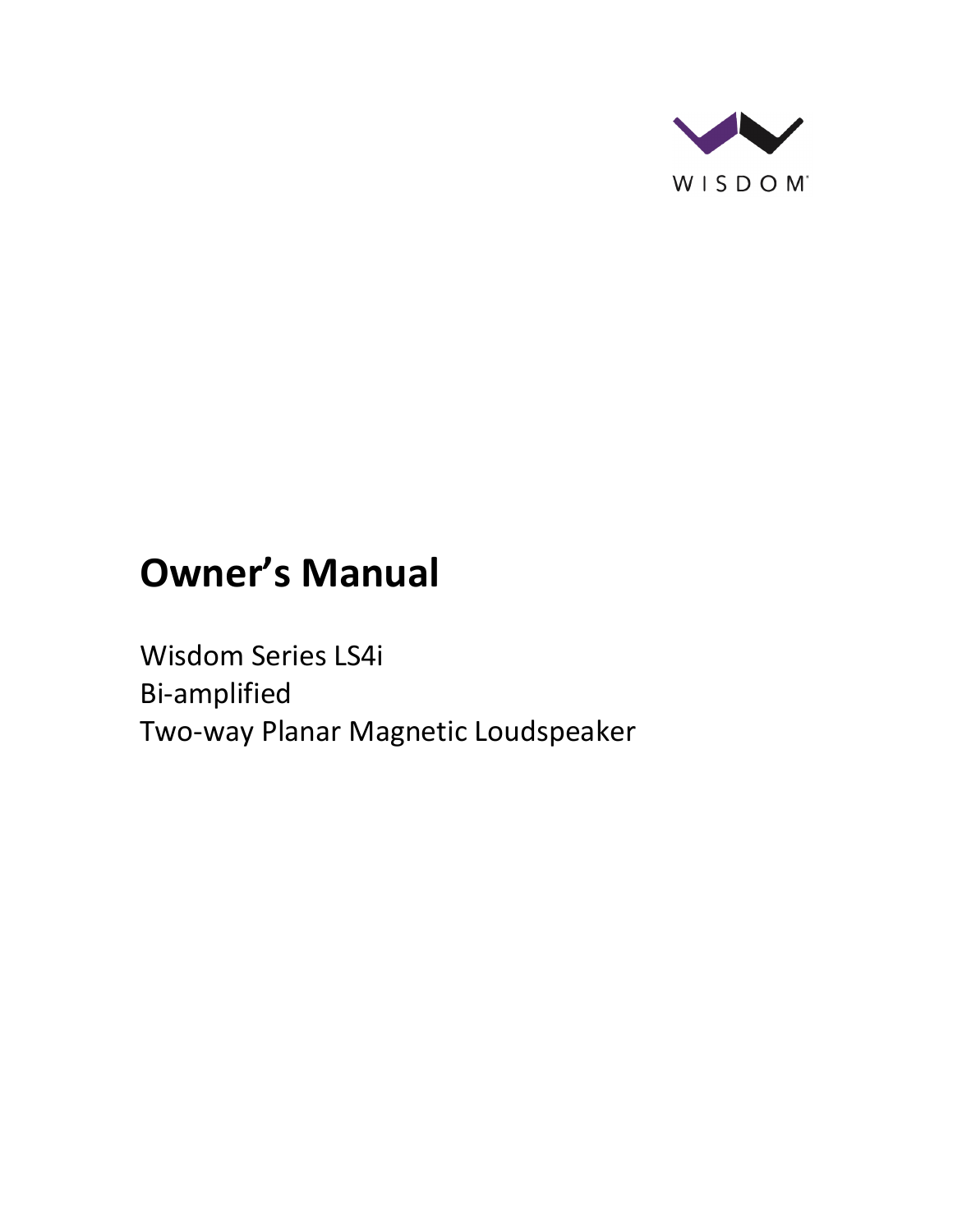

# **Owner's Manual**

Wisdom Series LS4i Bi-amplified Two-way Planar Magnetic Loudspeaker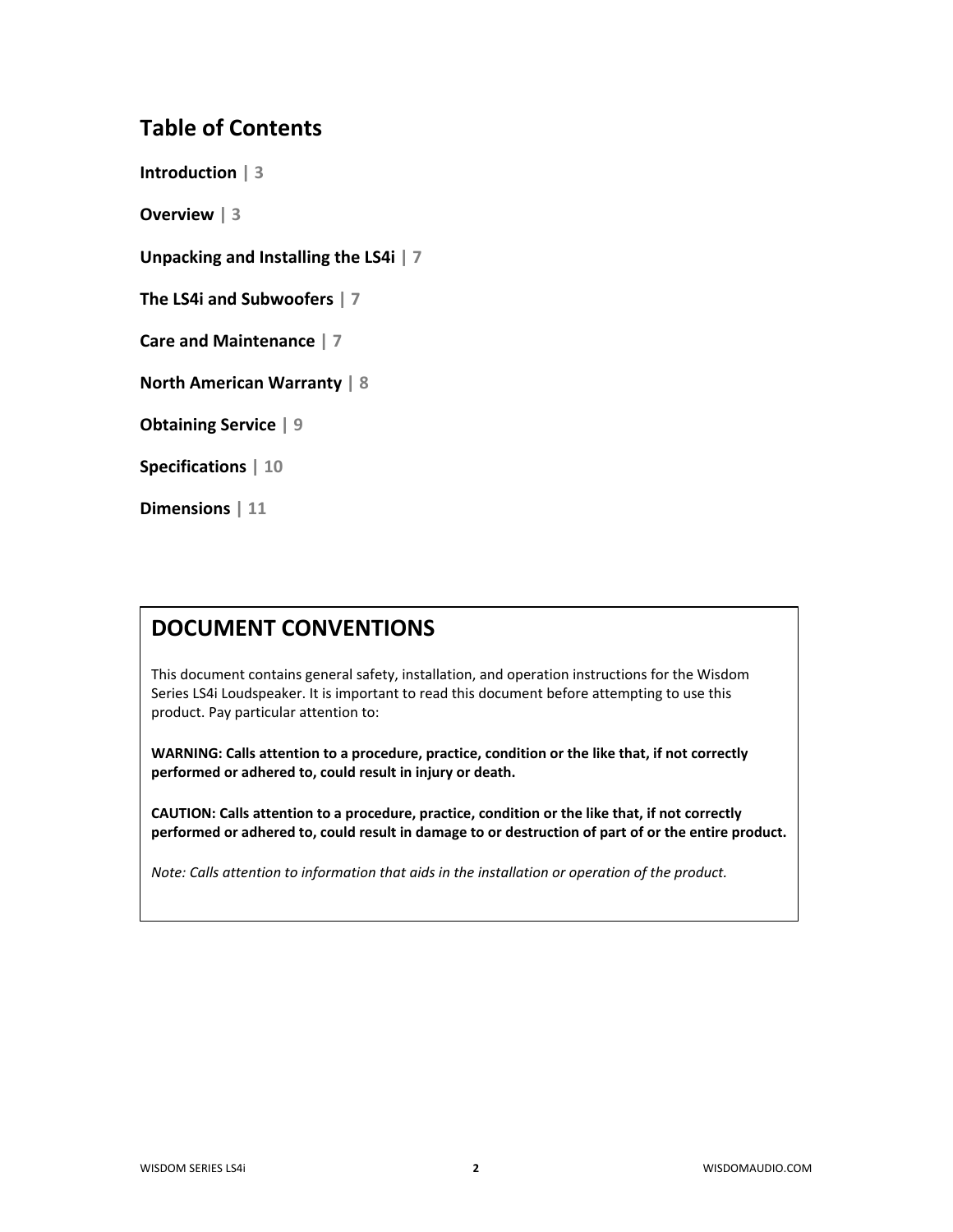## **Table of Contents**

**Introduction | 3**

**Overview | 3**

**Unpacking and Installing the LS4i | 7**

**The LS4i and Subwoofers | 7**

**Care and Maintenance | 7**

**North American Warranty | 8**

**Obtaining Service | 9**

**Specifications | 10**

**Dimensions | 11**

## **DOCUMENT CONVENTIONS**

This document contains general safety, installation, and operation instructions for the Wisdom Series LS4i Loudspeaker. It is important to read this document before attempting to use this product. Pay particular attention to:

**WARNING: Calls attention to a procedure, practice, condition or the like that, if not correctly performed or adhered to, could result in injury or death.** 

**CAUTION: Calls attention to a procedure, practice, condition or the like that, if not correctly performed or adhered to, could result in damage to or destruction of part of or the entire product.** 

*Note: Calls attention to information that aids in the installation or operation of the product.*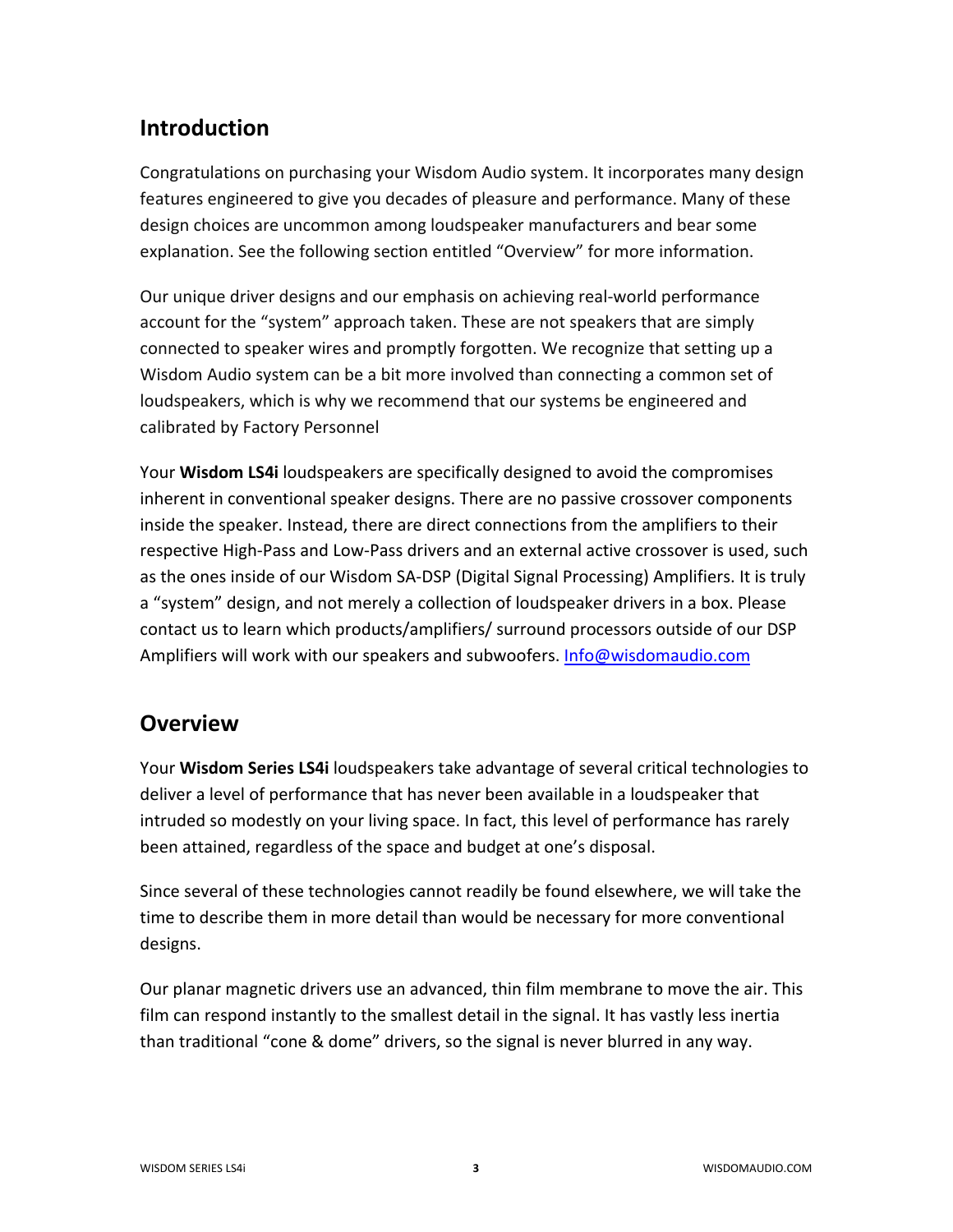## **Introduction**

Congratulations on purchasing your Wisdom Audio system. It incorporates many design features engineered to give you decades of pleasure and performance. Many of these design choices are uncommon among loudspeaker manufacturers and bear some explanation. See the following section entitled "Overview" for more information.

Our unique driver designs and our emphasis on achieving real-world performance account for the "system" approach taken. These are not speakers that are simply connected to speaker wires and promptly forgotten. We recognize that setting up a Wisdom Audio system can be a bit more involved than connecting a common set of loudspeakers, which is why we recommend that our systems be engineered and calibrated by Factory Personnel

Your **Wisdom LS4i** loudspeakers are specifically designed to avoid the compromises inherent in conventional speaker designs. There are no passive crossover components inside the speaker. Instead, there are direct connections from the amplifiers to their respective High-Pass and Low-Pass drivers and an external active crossover is used, such as the ones inside of our Wisdom SA-DSP (Digital Signal Processing) Amplifiers. It is truly a "system" design, and not merely a collection of loudspeaker drivers in a box. Please contact us to learn which products/amplifiers/ surround processors outside of our DSP Amplifiers will work with our speakers and subwoofers. [Info@wisdomaudio.com](mailto:Info@wisdomaudio.com)

## **Overview**

Your **Wisdom Series LS4i** loudspeakers take advantage of several critical technologies to deliver a level of performance that has never been available in a loudspeaker that intruded so modestly on your living space. In fact, this level of performance has rarely been attained, regardless of the space and budget at one's disposal.

Since several of these technologies cannot readily be found elsewhere, we will take the time to describe them in more detail than would be necessary for more conventional designs.

Our planar magnetic drivers use an advanced, thin film membrane to move the air. This film can respond instantly to the smallest detail in the signal. It has vastly less inertia than traditional "cone & dome" drivers, so the signal is never blurred in any way.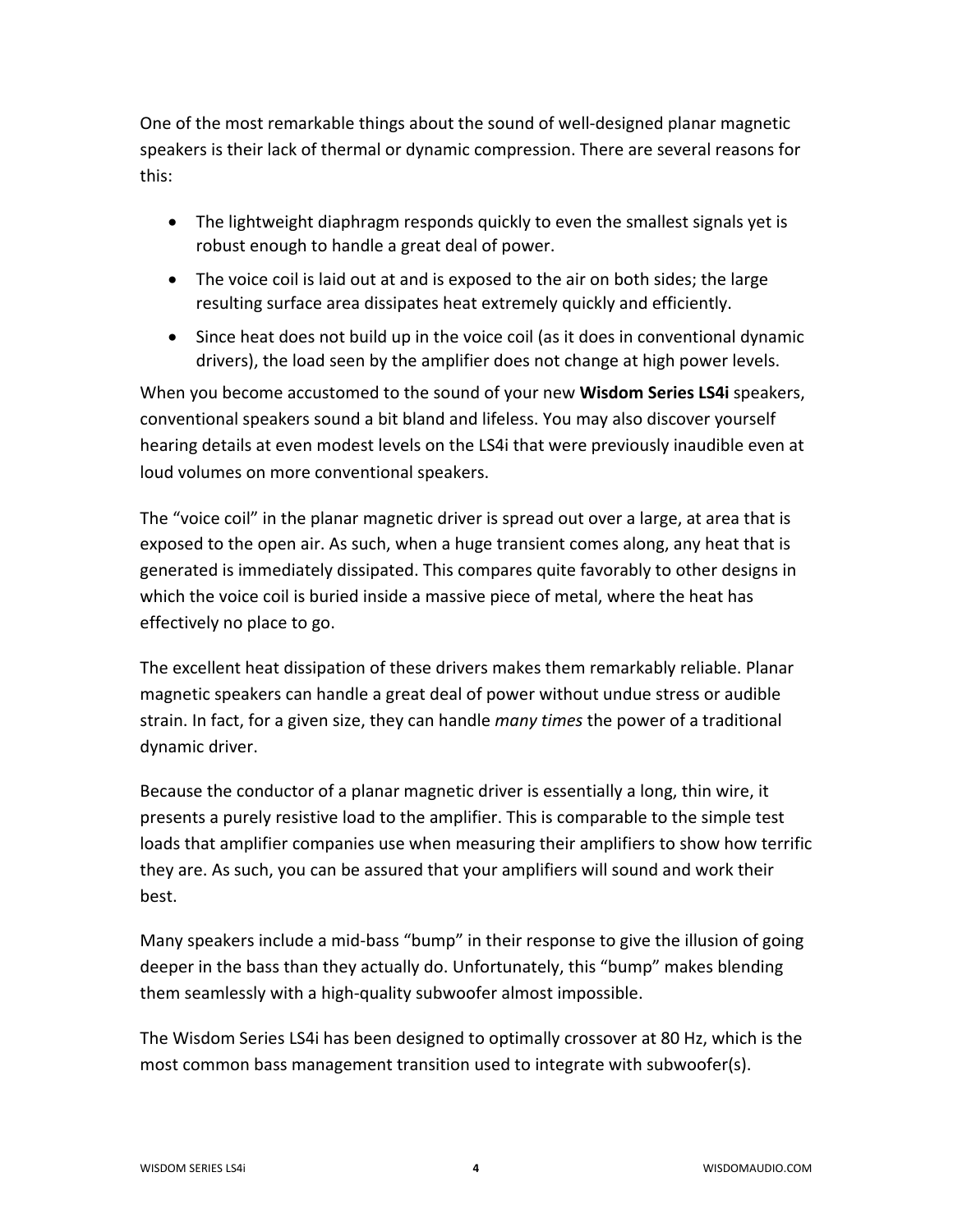One of the most remarkable things about the sound of well-designed planar magnetic speakers is their lack of thermal or dynamic compression. There are several reasons for this:

- The lightweight diaphragm responds quickly to even the smallest signals yet is robust enough to handle a great deal of power.
- The voice coil is laid out at and is exposed to the air on both sides; the large resulting surface area dissipates heat extremely quickly and efficiently.
- Since heat does not build up in the voice coil (as it does in conventional dynamic drivers), the load seen by the amplifier does not change at high power levels.

When you become accustomed to the sound of your new **Wisdom Series LS4i** speakers, conventional speakers sound a bit bland and lifeless. You may also discover yourself hearing details at even modest levels on the LS4i that were previously inaudible even at loud volumes on more conventional speakers.

The "voice coil" in the planar magnetic driver is spread out over a large, at area that is exposed to the open air. As such, when a huge transient comes along, any heat that is generated is immediately dissipated. This compares quite favorably to other designs in which the voice coil is buried inside a massive piece of metal, where the heat has effectively no place to go.

The excellent heat dissipation of these drivers makes them remarkably reliable. Planar magnetic speakers can handle a great deal of power without undue stress or audible strain. In fact, for a given size, they can handle *many times* the power of a traditional dynamic driver.

Because the conductor of a planar magnetic driver is essentially a long, thin wire, it presents a purely resistive load to the amplifier. This is comparable to the simple test loads that amplifier companies use when measuring their amplifiers to show how terrific they are. As such, you can be assured that your amplifiers will sound and work their best.

Many speakers include a mid-bass "bump" in their response to give the illusion of going deeper in the bass than they actually do. Unfortunately, this "bump" makes blending them seamlessly with a high-quality subwoofer almost impossible.

The Wisdom Series LS4i has been designed to optimally crossover at 80 Hz, which is the most common bass management transition used to integrate with subwoofer(s).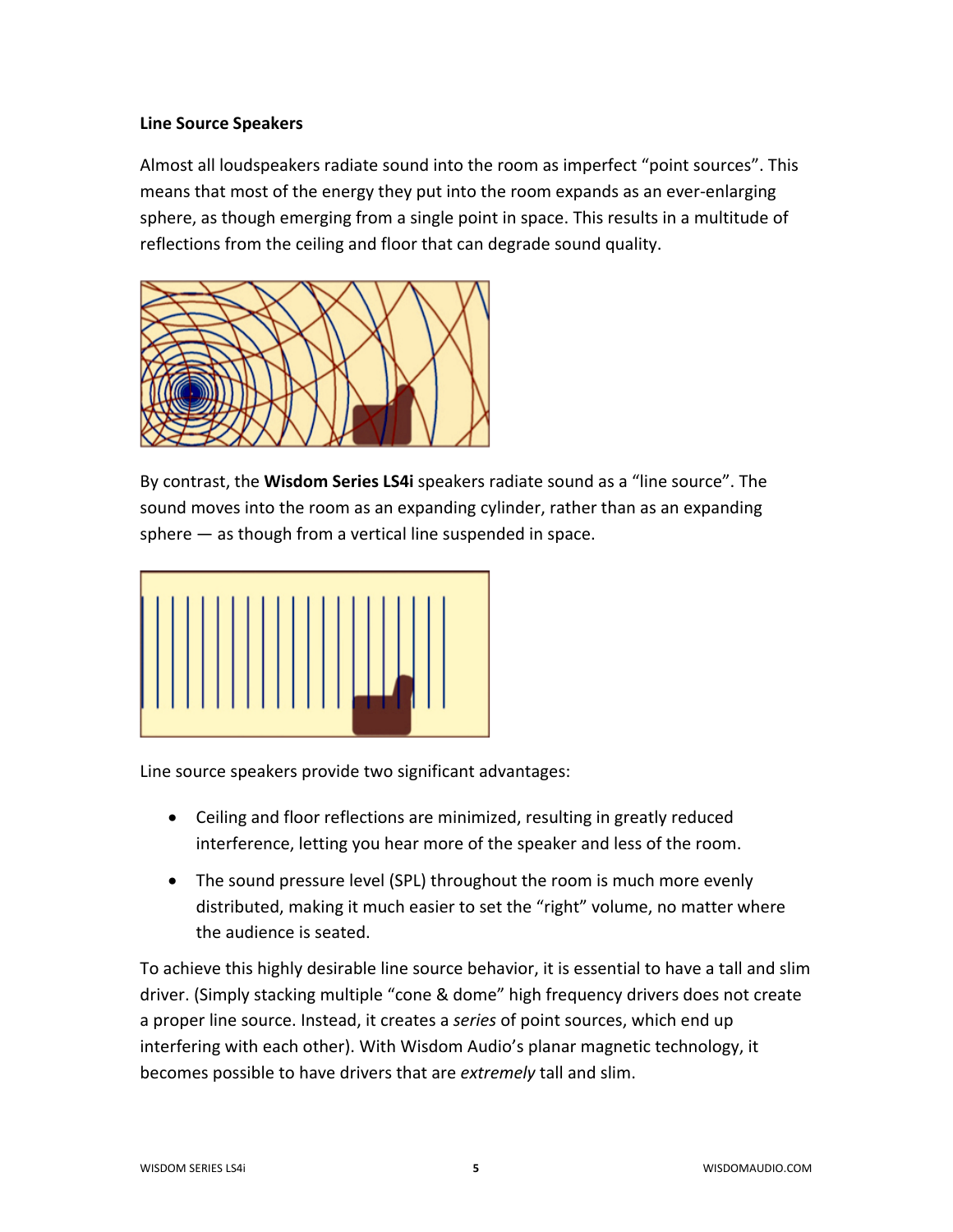#### **Line Source Speakers**

Almost all loudspeakers radiate sound into the room as imperfect "point sources". This means that most of the energy they put into the room expands as an ever-enlarging sphere, as though emerging from a single point in space. This results in a multitude of reflections from the ceiling and floor that can degrade sound quality.



By contrast, the **Wisdom Series LS4i** speakers radiate sound as a "line source". The sound moves into the room as an expanding cylinder, rather than as an expanding sphere — as though from a vertical line suspended in space.



Line source speakers provide two significant advantages:

- Ceiling and floor reflections are minimized, resulting in greatly reduced interference, letting you hear more of the speaker and less of the room.
- The sound pressure level (SPL) throughout the room is much more evenly distributed, making it much easier to set the "right" volume, no matter where the audience is seated.

To achieve this highly desirable line source behavior, it is essential to have a tall and slim driver. (Simply stacking multiple "cone & dome" high frequency drivers does not create a proper line source. Instead, it creates a *series* of point sources, which end up interfering with each other). With Wisdom Audio's planar magnetic technology, it becomes possible to have drivers that are *extremely* tall and slim.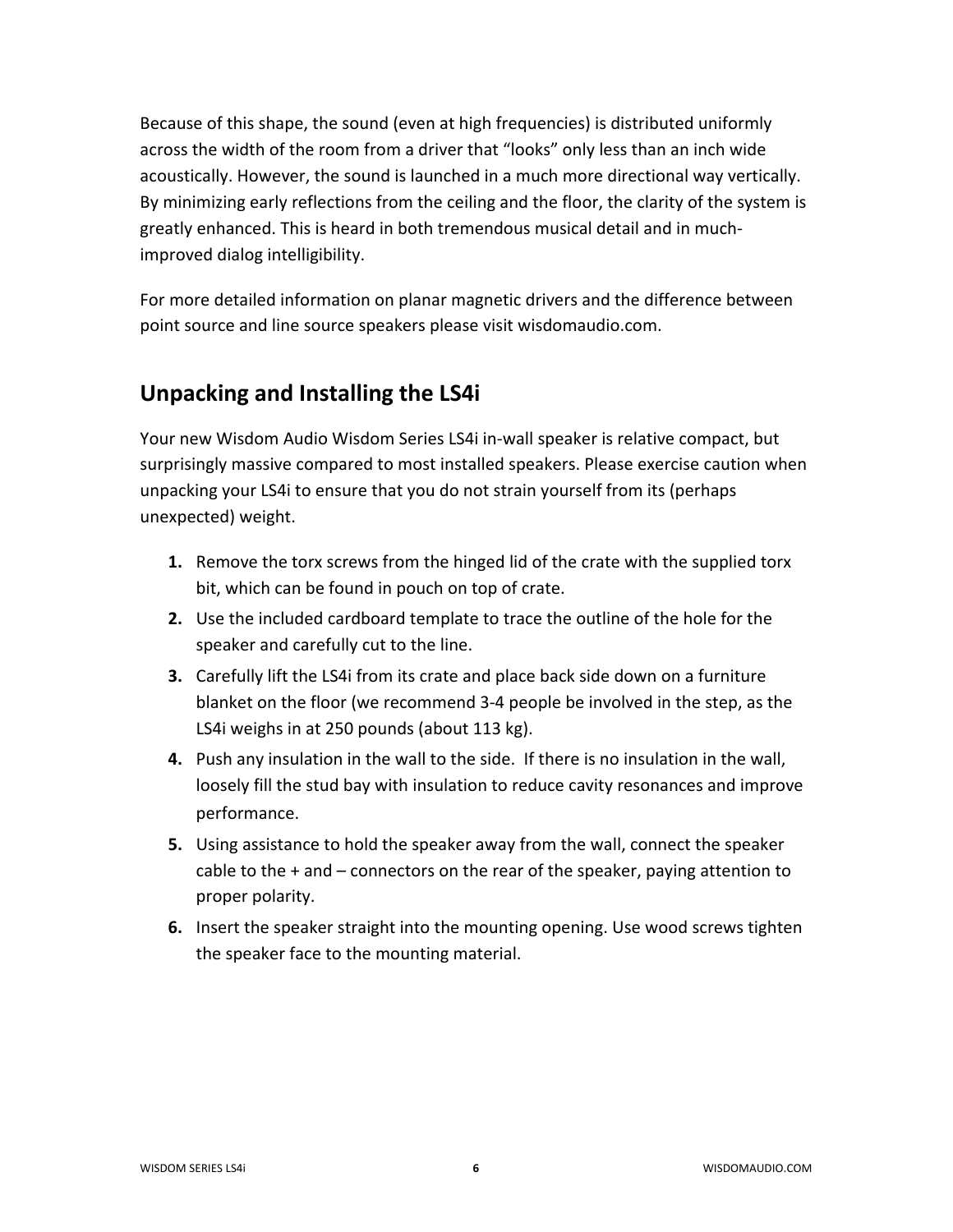Because of this shape, the sound (even at high frequencies) is distributed uniformly across the width of the room from a driver that "looks" only less than an inch wide acoustically. However, the sound is launched in a much more directional way vertically. By minimizing early reflections from the ceiling and the floor, the clarity of the system is greatly enhanced. This is heard in both tremendous musical detail and in muchimproved dialog intelligibility.

For more detailed information on planar magnetic drivers and the difference between point source and line source speakers please visit wisdomaudio.com.

## **Unpacking and Installing the LS4i**

Your new Wisdom Audio Wisdom Series LS4i in-wall speaker is relative compact, but surprisingly massive compared to most installed speakers. Please exercise caution when unpacking your LS4i to ensure that you do not strain yourself from its (perhaps unexpected) weight.

- **1.** Remove the torx screws from the hinged lid of the crate with the supplied torx bit, which can be found in pouch on top of crate.
- **2.** Use the included cardboard template to trace the outline of the hole for the speaker and carefully cut to the line.
- **3.** Carefully lift the LS4i from its crate and place back side down on a furniture blanket on the floor (we recommend 3-4 people be involved in the step, as the LS4i weighs in at 250 pounds (about 113 kg).
- **4.** Push any insulation in the wall to the side. If there is no insulation in the wall, loosely fill the stud bay with insulation to reduce cavity resonances and improve performance.
- **5.** Using assistance to hold the speaker away from the wall, connect the speaker cable to the + and – connectors on the rear of the speaker, paying attention to proper polarity.
- **6.** Insert the speaker straight into the mounting opening. Use wood screws tighten the speaker face to the mounting material.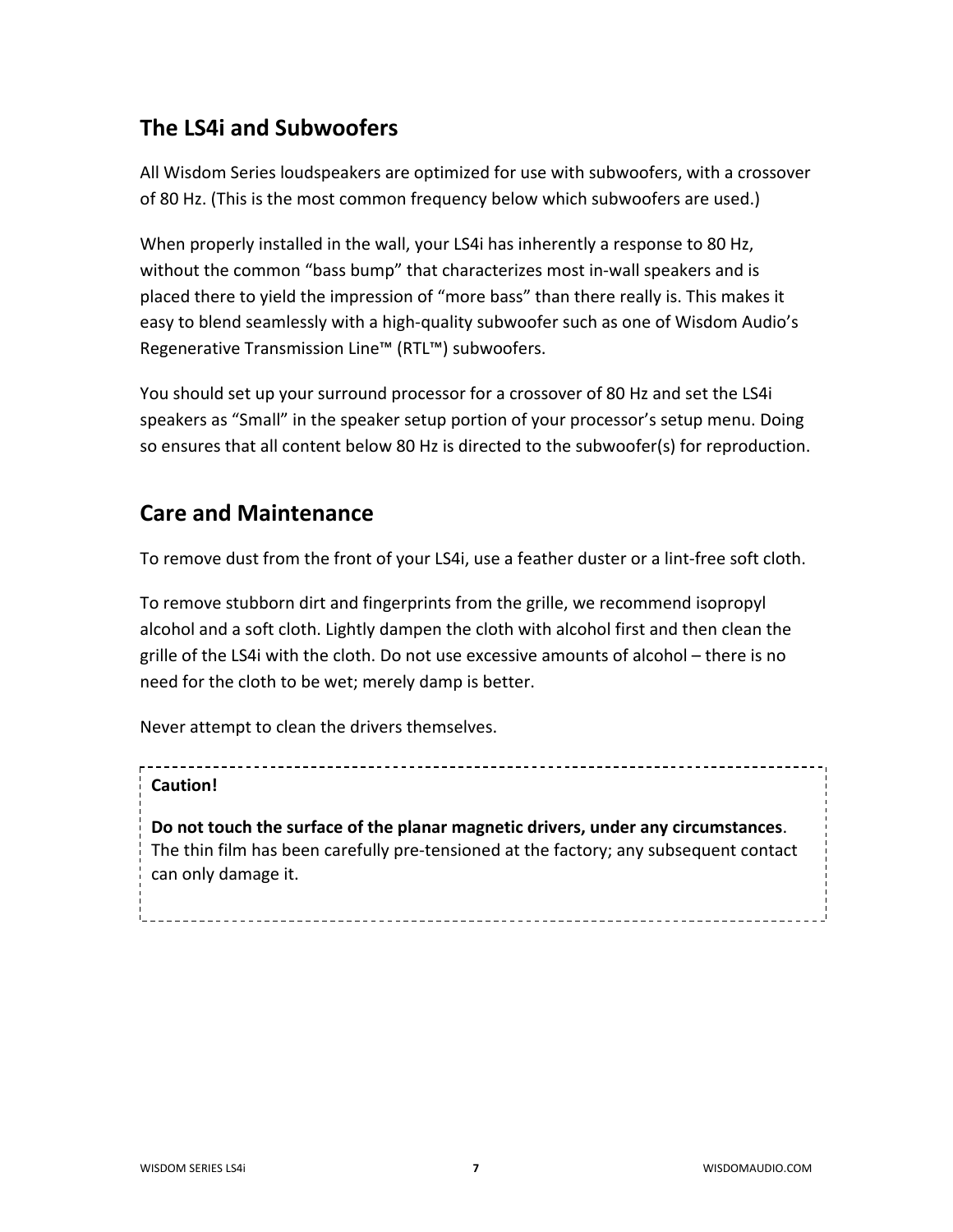## **The LS4i and Subwoofers**

All Wisdom Series loudspeakers are optimized for use with subwoofers, with a crossover of 80 Hz. (This is the most common frequency below which subwoofers are used.)

When properly installed in the wall, your LS4i has inherently a response to 80 Hz, without the common "bass bump" that characterizes most in-wall speakers and is placed there to yield the impression of "more bass" than there really is. This makes it easy to blend seamlessly with a high-quality subwoofer such as one of Wisdom Audio's Regenerative Transmission Line™ (RTL™) subwoofers.

You should set up your surround processor for a crossover of 80 Hz and set the LS4i speakers as "Small" in the speaker setup portion of your processor's setup menu. Doing so ensures that all content below 80 Hz is directed to the subwoofer(s) for reproduction.

## **Care and Maintenance**

To remove dust from the front of your LS4i, use a feather duster or a lint-free soft cloth.

To remove stubborn dirt and fingerprints from the grille, we recommend isopropyl alcohol and a soft cloth. Lightly dampen the cloth with alcohol first and then clean the grille of the LS4i with the cloth. Do not use excessive amounts of alcohol – there is no need for the cloth to be wet; merely damp is better.

Never attempt to clean the drivers themselves.

## **Caution!**

**Do not touch the surface of the planar magnetic drivers, under any circumstances**. The thin film has been carefully pre-tensioned at the factory; any subsequent contact can only damage it.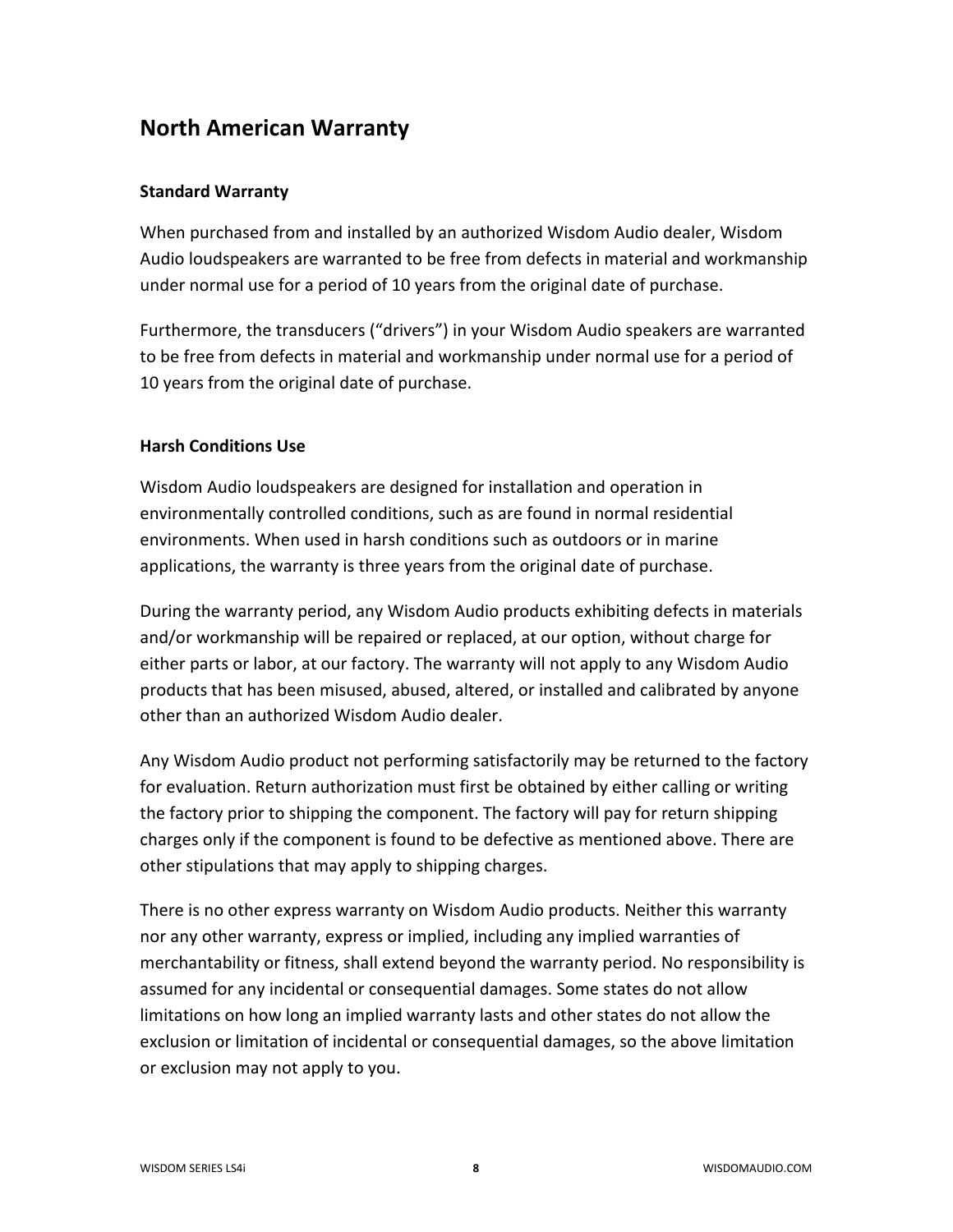## **North American Warranty**

### **Standard Warranty**

When purchased from and installed by an authorized Wisdom Audio dealer, Wisdom Audio loudspeakers are warranted to be free from defects in material and workmanship under normal use for a period of 10 years from the original date of purchase.

Furthermore, the transducers ("drivers") in your Wisdom Audio speakers are warranted to be free from defects in material and workmanship under normal use for a period of 10 years from the original date of purchase.

### **Harsh Conditions Use**

Wisdom Audio loudspeakers are designed for installation and operation in environmentally controlled conditions, such as are found in normal residential environments. When used in harsh conditions such as outdoors or in marine applications, the warranty is three years from the original date of purchase.

During the warranty period, any Wisdom Audio products exhibiting defects in materials and/or workmanship will be repaired or replaced, at our option, without charge for either parts or labor, at our factory. The warranty will not apply to any Wisdom Audio products that has been misused, abused, altered, or installed and calibrated by anyone other than an authorized Wisdom Audio dealer.

Any Wisdom Audio product not performing satisfactorily may be returned to the factory for evaluation. Return authorization must first be obtained by either calling or writing the factory prior to shipping the component. The factory will pay for return shipping charges only if the component is found to be defective as mentioned above. There are other stipulations that may apply to shipping charges.

There is no other express warranty on Wisdom Audio products. Neither this warranty nor any other warranty, express or implied, including any implied warranties of merchantability or fitness, shall extend beyond the warranty period. No responsibility is assumed for any incidental or consequential damages. Some states do not allow limitations on how long an implied warranty lasts and other states do not allow the exclusion or limitation of incidental or consequential damages, so the above limitation or exclusion may not apply to you.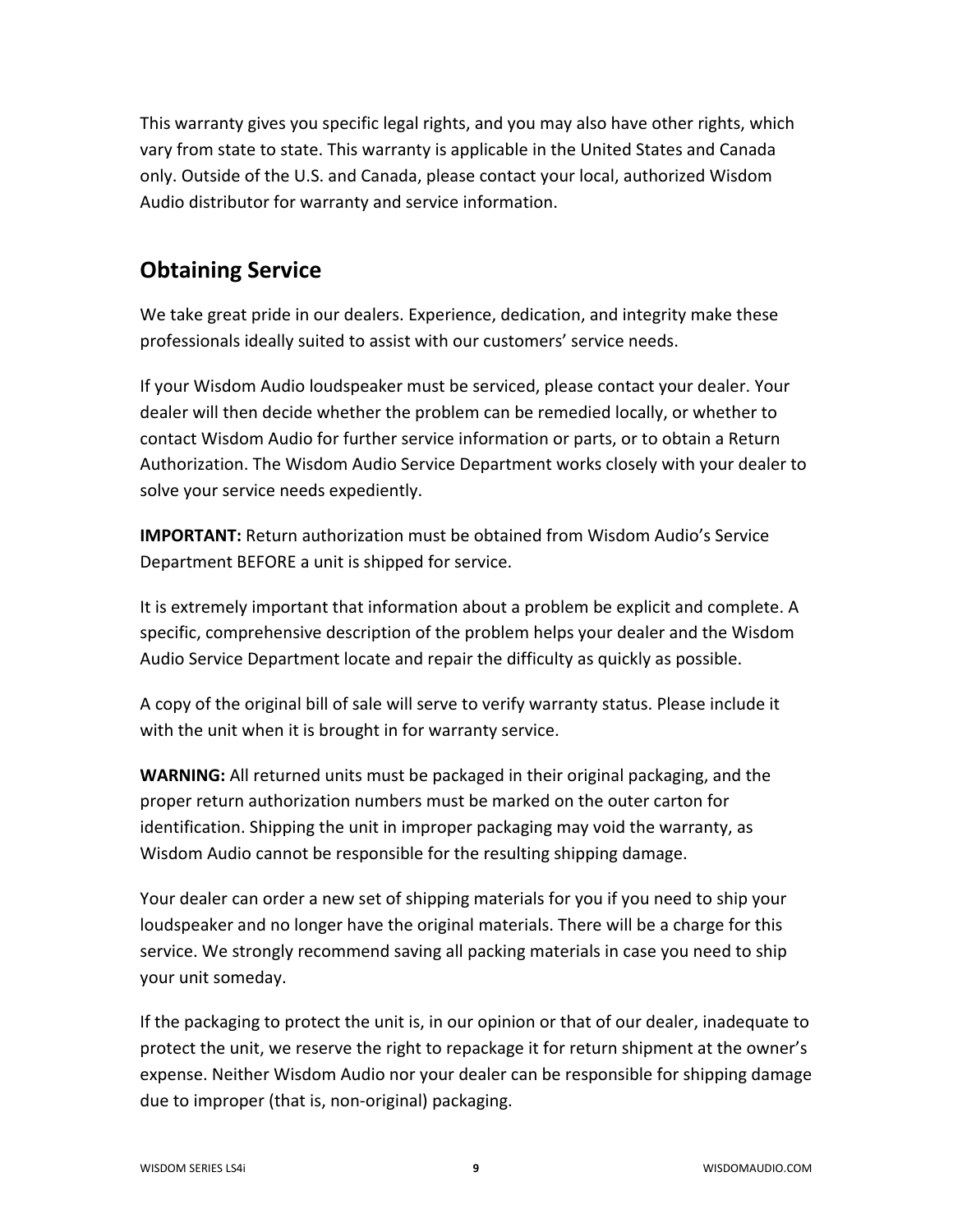This warranty gives you specific legal rights, and you may also have other rights, which vary from state to state. This warranty is applicable in the United States and Canada only. Outside of the U.S. and Canada, please contact your local, authorized Wisdom Audio distributor for warranty and service information.

## **Obtaining Service**

We take great pride in our dealers. Experience, dedication, and integrity make these professionals ideally suited to assist with our customers' service needs.

If your Wisdom Audio loudspeaker must be serviced, please contact your dealer. Your dealer will then decide whether the problem can be remedied locally, or whether to contact Wisdom Audio for further service information or parts, or to obtain a Return Authorization. The Wisdom Audio Service Department works closely with your dealer to solve your service needs expediently.

**IMPORTANT:** Return authorization must be obtained from Wisdom Audio's Service Department BEFORE a unit is shipped for service.

It is extremely important that information about a problem be explicit and complete. A specific, comprehensive description of the problem helps your dealer and the Wisdom Audio Service Department locate and repair the difficulty as quickly as possible.

A copy of the original bill of sale will serve to verify warranty status. Please include it with the unit when it is brought in for warranty service.

**WARNING:** All returned units must be packaged in their original packaging, and the proper return authorization numbers must be marked on the outer carton for identification. Shipping the unit in improper packaging may void the warranty, as Wisdom Audio cannot be responsible for the resulting shipping damage.

Your dealer can order a new set of shipping materials for you if you need to ship your loudspeaker and no longer have the original materials. There will be a charge for this service. We strongly recommend saving all packing materials in case you need to ship your unit someday.

If the packaging to protect the unit is, in our opinion or that of our dealer, inadequate to protect the unit, we reserve the right to repackage it for return shipment at the owner's expense. Neither Wisdom Audio nor your dealer can be responsible for shipping damage due to improper (that is, non-original) packaging.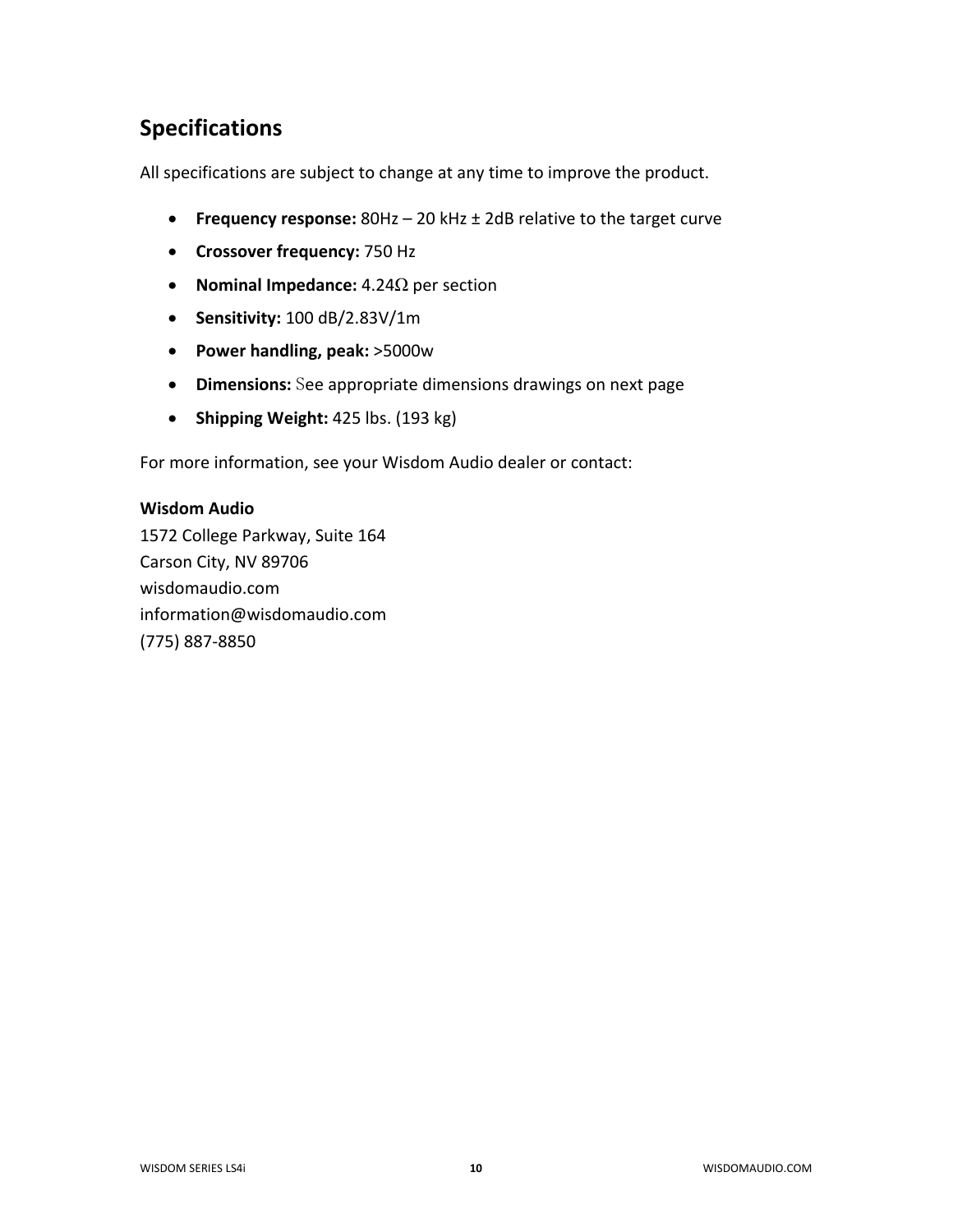# **Specifications**

All specifications are subject to change at any time to improve the product.

- **Frequency response:** 80Hz 20 kHz ± 2dB relative to the target curve
- **Crossover frequency:** 750 Hz
- **Nominal Impedance:** 4.24Ω per section
- **Sensitivity:** 100 dB/2.83V/1m
- **Power handling, peak:** >5000w
- **Dimensions:** See appropriate dimensions drawings on next page
- **Shipping Weight:** 425 lbs. (193 kg)

For more information, see your Wisdom Audio dealer or contact:

#### **Wisdom Audio**

1572 College Parkway, Suite 164 Carson City, NV 89706 wisdomaudio.com information@wisdomaudio.com (775) 887-8850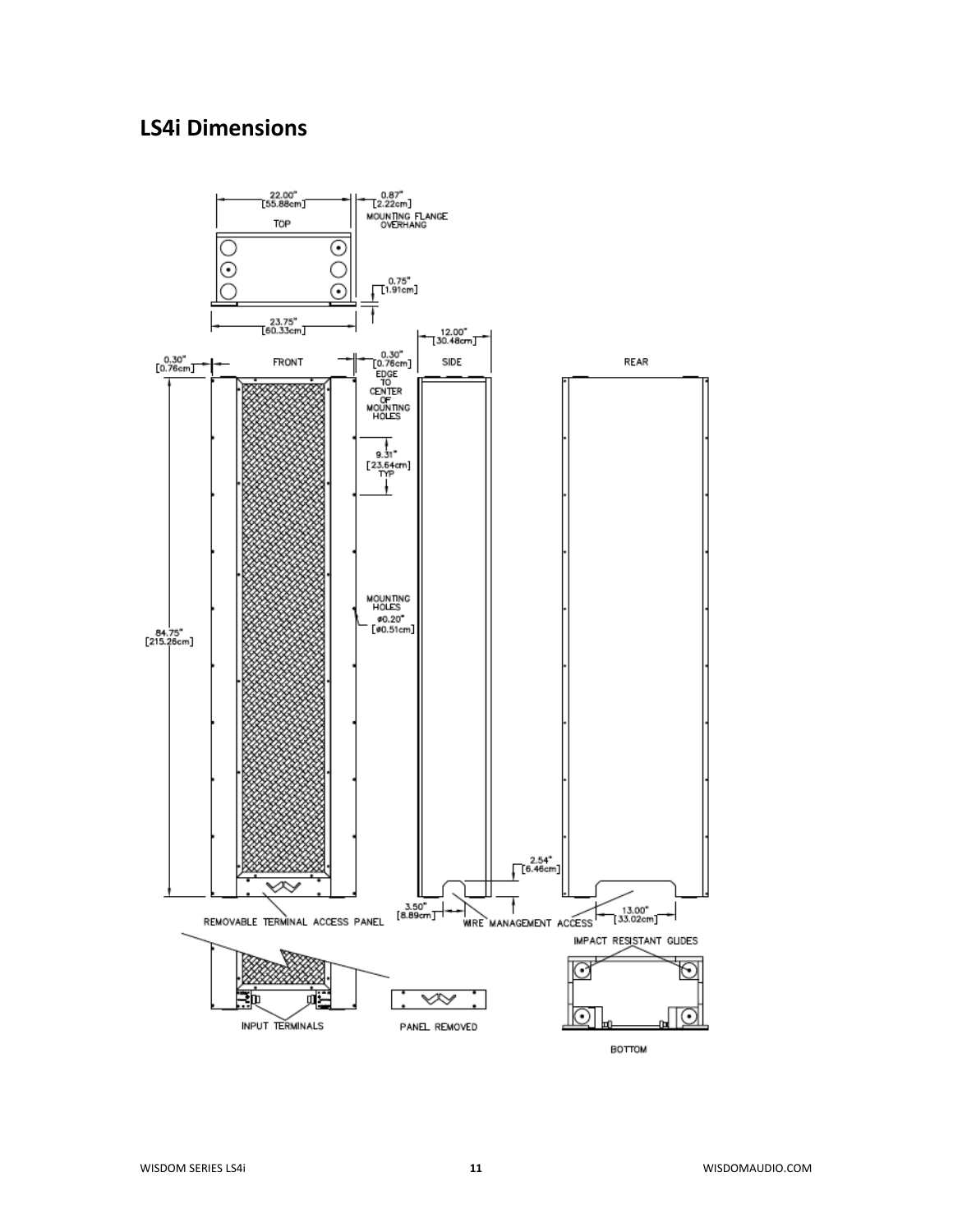## **LS4i Dimensions**